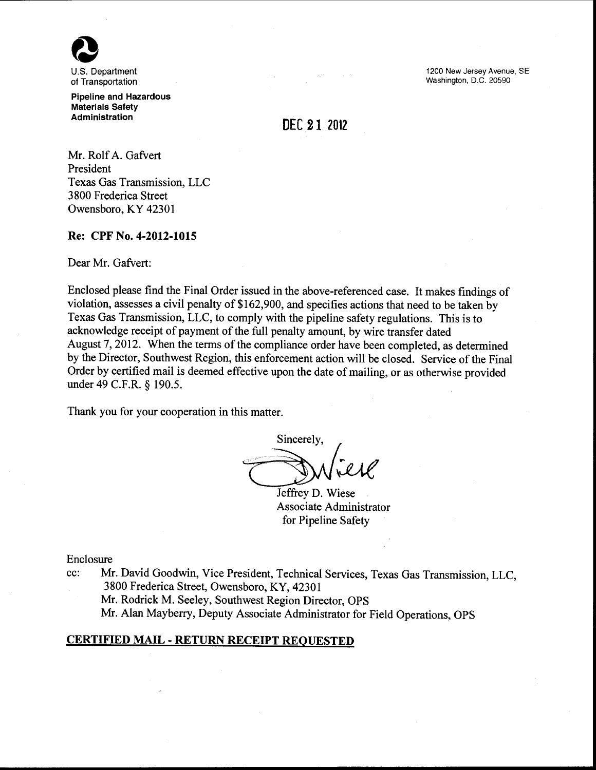

of Transportation Pipeline and Hazardous

Materials Safety Administration

1200 New Jersey Avenue, SE Washington, D.C. 20590

# DEC 21 2012

Mr. Rolf A. Gafvert President Texas Gas Transmission, LLC 3 800 Frederica Street Owensboro, KY 42301

### Re: CPF No. 4-2012-1015

Dear Mr. Gafvert:

Enclosed please find the Final Order issued in the above-referenced case. It makes findings of violation, assesses a civil penalty of \$162,900, and specifies actions that need to be taken by Texas Gas Transmission, LLC, to comply with the pipeline safety regulations. This is to acknowledge receipt of payment of the full penalty amount, by wire transfer dated August 7, 2012. When the terms of the compliance order have been completed, as determined by the Director, Southwest Region, this enforcement action will be closed. Service of the Final Order by certified mail is deemed effective upon the date of mailing, or as otherwise provided under 49 C.P.R. § 190.5.

Thank you for your cooperation in this matter.

Sincerely,

Jeffrey D. Wiese Associate Administrator for Pipeline Safety

Enclosure

cc: Mr. David Goodwin, Vice President, Technical Services, Texas Gas Transmission, LLC, 3800 Frederica Street, Owensboro, KY, 42301

Mr. Rodrick M. Seeley, Southwest Region Director, OPS

Mr. Alan Mayberry, Deputy Associate Administrator for Field Operations, OPS

# CERTIFIED MAIL- RETURN RECEIPT REQUESTED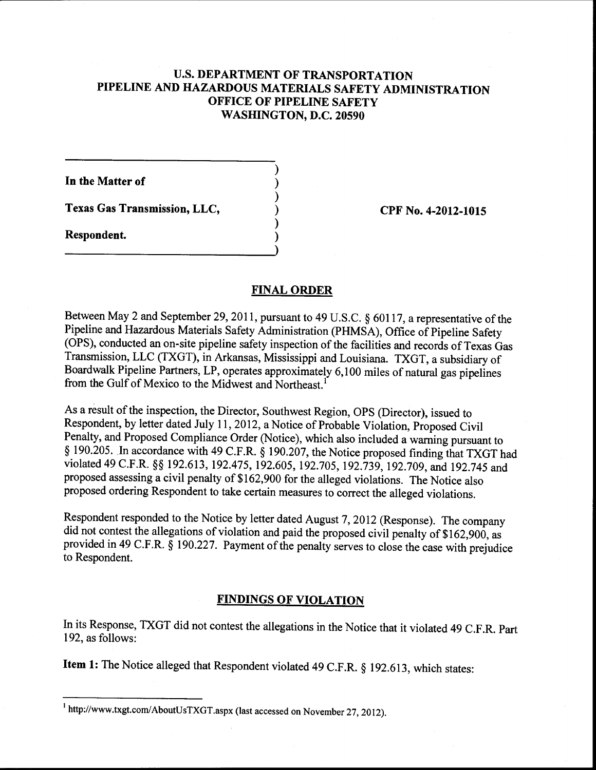# U.S. **DEPARTMENT OF TRANSPORTATION PIPELINE AND HAZARDOUS MATERIALS SAFETY ADMINISTRATION OFFICE OF PIPELINE SAFETY WASHINGTON, D.C. 20590**

) ) ) ) ) )

**In the Matter of** 

**Texas Gas Transmission, LLC,** 

**Respondent.** 

**CPF No. 4-2012-1015** 

## **FINAL ORDER**

Between May 2 and September 29, 2011, pursuant to 49 U.S.C. § 60117, a representative of the Pipeline and Hazardous Materials Safety Administration (PHMSA), Office of Pipeline Safety (OPS), conducted an on-site pipeline safety inspection of the facilities and records of Texas Gas Transmission, LLC (TXGT), in Arkansas, Mississippi and Louisiana. TXGT, a subsidiary of Boardwalk Pipeline Partners, LP, operates approximately 6,100 miles of natural gas pipelines from the Gulf of Mexico to the Midwest and Northeast.<sup>1</sup>

As a result of the inspection, the Director, Southwest Region, OPS (Director), issued to Respondent, by letter dated July 11, 2012, a Notice of Probable Violation, Proposed Civil Penalty, and Proposed Compliance Order (Notice), which also included a warning pursuant to § 190.205. Jn accordance with 49 C.F.R. § 190.207, the Notice proposed finding that TXGT had violated 49 C.F.R. §§ 192.613, 192.475, 192.605, 192.705, 192.739, 192.709, and 192.745 and proposed assessing a civil penalty of\$162,900 for the alleged violations. The Notice also proposed ordering Respondent to take certain measures to correct the alleged violations.

Respondent responded to the Notice by letter dated August 7, 2012 (Response). The company did not contest the allegations of violation and paid the proposed civil penalty of \$162,900, as provided in 49 C.F.R. § 190.227. Payment of the penalty serves to close the case with prejudice to Respondent.

# **FINDINGS OF VIOLATION**

In its Response, TXGT did not contest the allegations in the Notice that it violated 49 C.F.R. Part 192, as follows:

**Item 1:** The Notice alleged that Respondent violated 49 C.F.R. § 192.613, which states:

<sup>1</sup> http://www.txgt.com/AboutUsTXGT.aspx (last accessed on November 27, 2012).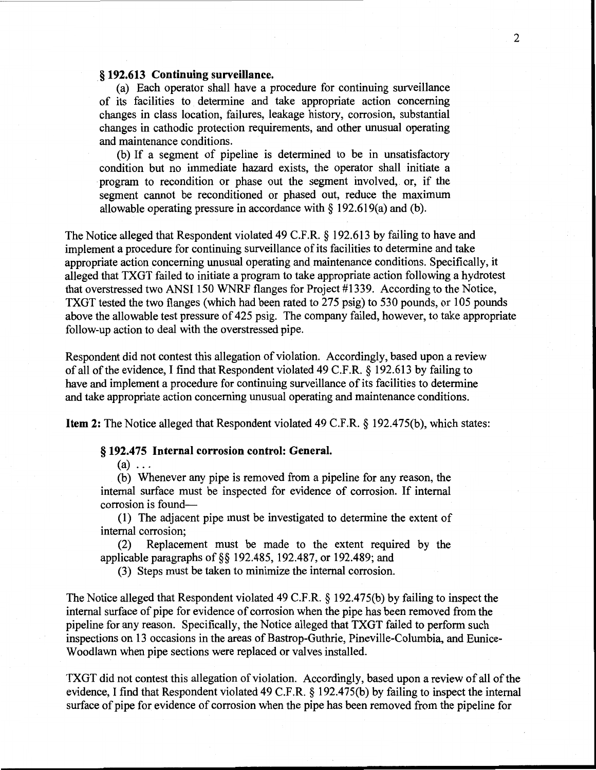### . § **192.613 Continuing surveillance.**

(a) Each operator shall have a procedure for continuing surveillance of its facilities to determine and take appropriate action concerning changes in class location, failures, leakage history, corrosion, substantial changes in cathodic protection requirements, and other unusual operating and maintenance conditions.

(b) If a segment of pipeline is determined to be in unsatisfactory condition but no immediate hazard exists, the operator shall initiate a program to recondition or phase out the segment involved, or, if the segment cannot be reconditioned or phased out, reduce the maximum allowable operating pressure in accordance with  $\S$  192.619(a) and (b).

The Notice alleged that Respondent violated 49 C.F.R. § 192.613 by failing to have and implement a procedure for continuing surveillance of its facilities to determine and take appropriate action concerning unusual operating and maintenance conditions. Specifically, it alleged that TXGT failed to initiate a program to take appropriate action following a hydrotest that overstressed two ANSI 150 WNRF flanges for Project #1339. According to the Notice, TXGT tested the two flanges (which had been rated to 275 psig) to 530 pounds, or 105 pounds above the allowable test pressure of 425 psig. The company failed, however, to take appropriate follow-up action to deal with the overstressed pipe.

Respondent did not contest this allegation of violation. Accordingly, based upon a review of all of the evidence, I find that Respondent violated 49 C.F.R. § 192.613 by failing to have and implement a procedure for continuing surveillance of its facilities to determine and take appropriate action concerning unusual operating and maintenance conditions.

**Item 2:** The Notice alleged that Respondent violated 49 C.F.R. § 192.475(b), which states:

### § **192.475 Internal corrosion control: General.**

 $(a) \ldots$ 

(b) Whenever any pipe is removed from a pipeline for any reason, the internal surface must be inspected for evidence of corrosion. If internal corrosion is found-

(1) The adjacent pipe must be investigated to determine the extent of internal corrosion;

(2) Replacement must be made to the extent required by the applicable paragraphs of§§ 192.485, 192.487, or 192.489; and

(3) Steps must be taken to minimize the internal corrosion.

The Notice alleged that Respondent violated 49 C.F.R. § 192.475(b) by failing to inspect the internal surface of pipe for evidence of corrosion when the pipe has been removed from the pipeline for any reason. Specifically, the Notice alleged that TXGT failed to perform such inspections on 13 occasions in the areas of Bastrop-Guthrie, Pineville-Columbia, and Eunice-Woodlawn when pipe sections were replaced or valves installed.

TXGT did not contest this allegation of violation. Accordingly, based upon a review of all of the evidence, I find that Respondent violated 49 C.F.R. § 192.475(b) by failing to inspect the internal surface of pipe for evidence of corrosion when the pipe has been removed from the pipeline for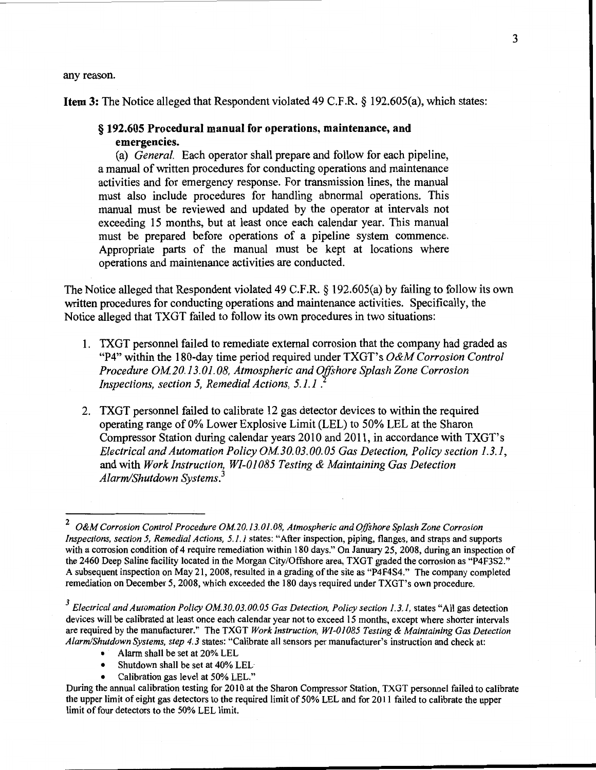any reason.

**Item 3:** The Notice alleged that Respondent violated 49 C.F.R. § 192.605(a), which states:

## § **192.605 Procedural manual for operations, maintenance, and emergencies.**

(a) *General.* Each operator shall prepare and follow for each pipeline, a manual of written procedures for conducting operations and maintenance activities and for emergency response. For transmission lines, the manual must also include procedures for handling abnormal operations. This manual must be reviewed and updated by the operator at intervals not exceeding 15 months, but at least once each calendar year. This manual must be prepared before operations of a pipeline system commence. Appropriate parts of the manual must be kept at locations where operations and maintenance activities are conducted.

The Notice alleged that Respondent violated 49 C.F.R. § 192.605(a) by failing to follow its own written procedures for conducting operations and maintenance activities. Specifically, the Notice alleged that TXGT failed to follow its own procedures in two situations:

- 1. TXGT personnel failed to remediate external corrosion that the company had graded as "P4" within the 180-day time period required under TXGT' s *O&M Corrosion Control Procedure OM 20.13. 01. 08, Atmospheric and O.[!shore Splash Zone Corrosion Inspections, section 5, Remedial Actions, 5.1.1* .
- 2. TXGT personnel failed to calibrate 12 gas detector devices to within the required operating range ofO% Lower Explosive Limit (LEL) to 50% LEL at the Sharon Compressor Station during calendar years 2010 and 2011, in accordance with TXGT's *Electrical and Automation Policy OM30.03.00.05 Gas Detection, Policy section 1.3.1,*  and with *Work Instruction, WI-01085 Testing & Maintaining Gas Detection Alarm/Shutdown Systems.<sup>3</sup>*

- Alarm shall be set at 20% LEL
- Shutdown shall be set at 40% LEL
- Calibration gas level at 50% LEL."

<sup>2</sup>*O&M Corrosion Control Procedure OM20.13. 01.08, Atmospheric and Offshore Splash Zone Corrosion Inspections, section 5, Remedial Actions, 5.1.1* states: "After inspection, piping, flanges, and straps and supports with a corrosion condition of 4 require remediation within 180 days." On January 25, 2008, during an inspection of the 2460 Deep Saline facility located in the Morgan City/Offshore area, TXGT graded the corrosion as "P4F3S2." A subsequent inspection on May 21,2008, resulted in a grading of the site as "P4F4S4." The company completed remediation on December 5, 2008, which exceeded the 180 days required under TXGT's own procedure.

<sup>&</sup>lt;sup>3</sup> Electrical and Automation Policy OM.30.03.00.05 Gas Detection, Policy section 1.3.1, states "All gas detection devices will be calibrated at least once each calendar year not to exceed 15 months, except where shorter intervals are required by the manufacturer." The TXGT *Work Instruction, WI-01085 Testing* & *Maintaining Gas Detection Alarm/Shutdown Systems, step 4.3* states: "Calibrate all sensors per manufacturer's instruction and check at:

During the annual calibration testing for 2010 at the Sharon Compressor Station, TXGT personnel failed to calibrate the upper limit of eight gas detectors to the required limit of 50% LEL and for 2011 failed to calibrate the upper limit of four detectors to the 50% LEL limit.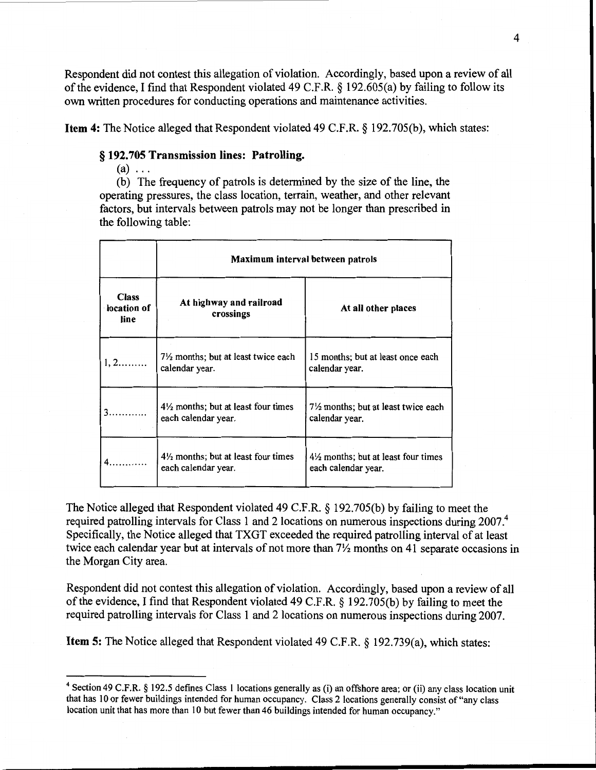Respondent did not contest this allegation of violation. Accordingly, based upon a review of all of the evidence, I find that Respondent violated 49 C.F.R. § 192.605(a) by failing to follow its own written procedures for conducting operations and maintenance activities.

Item 4: The Notice alleged that Respondent violated 49 C.F.R. § 192.705(b), which states:

### § 192.705 Transmission lines: Patrolling.

 $(a) \ldots$ 

(b) The frequency of patrols is determined by the size of the line, the operating pressures, the class location, terrain, weather, and other relevant factors, but intervals between patrols may not be longer than prescribed in the following table:

|                                     | Maximum interval between patrols                                      |                                                           |
|-------------------------------------|-----------------------------------------------------------------------|-----------------------------------------------------------|
| <b>Class</b><br>location of<br>line | At highway and railroad<br>crossings                                  | At all other places                                       |
|                                     | $7\frac{1}{2}$ months; but at least twice each<br>calendar year.      | 15 months; but at least once each<br>calendar year.       |
|                                     | $4\frac{1}{2}$ months; but at least four times<br>each calendar year. | 71/2 months; but at least twice each<br>calendar year.    |
|                                     | $4\frac{1}{2}$ months; but at least four times<br>each calendar year. | 4½ months; but at least four times<br>each calendar year. |

The Notice alleged that Respondent violated 49 C.F.R. § 192.705(b) by failing to meet the required patrolling intervals for Class 1 and 2 locations on numerous inspections during 2007.<sup>4</sup> Specifically, the Notice alleged that TXGT exceeded the required patrolling interval of at least twice each calendar year but at intervals of not more than  $7\frac{1}{2}$  months on 41 separate occasions in the Morgan City area.

Respondent did not contest this allegation of violation. Accordingly, based upon a review of all of the evidence, I find that Respondent violated 49 C.F.R. § 192.705(b) by failing to meet the required patrolling intervals for Class 1 and 2 locations on numerous inspections during 2007.

Item 5: The Notice alleged that Respondent violated 49 C.F.R. § 192.739(a), which states:

<sup>4</sup> Section 49 C.F.R. § 192.5 defines Class 1 locations generally as (i) an offshore area; or (ii) any class location unit that has 10 or fewer buildings intended for human occupancy. Class 2 locations generally consist of"any class location unit that has more than 10 but fewer than 46 buildings intended for human occupancy."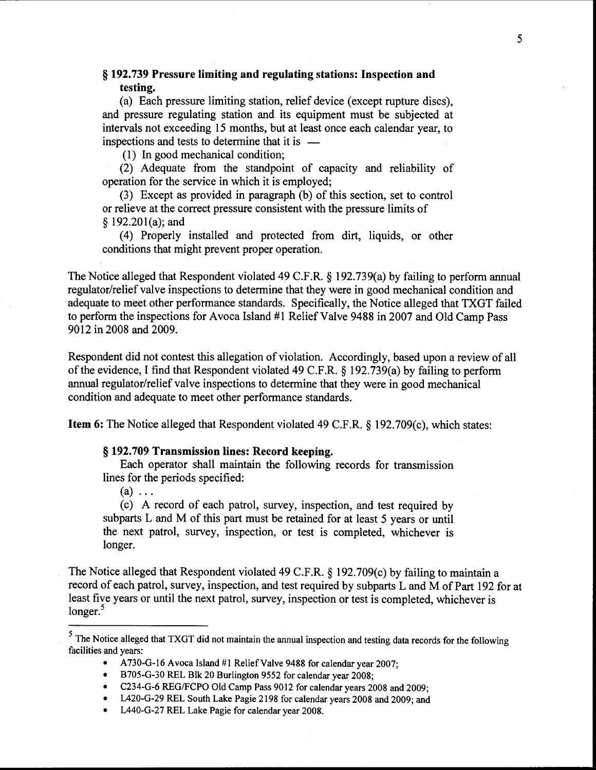# § **192.739 Pressure limiting and regulating stations: Inspection and testing.**

(a) Each pressure limiting station, relief device (except rupture discs), and pressure regulating station and its equipment must be subjected at intervals not exceeding 15 months, but at least once each calendar year, to inspections and tests to determine that it is  $-$ 

(1) In good mechanical condition;

(2) Adequate from the standpoint of capacity and reliability of operation for the service in which it is employed;

(3) Except as provided in paragraph (b) of this section, set to control or relieve at the correct pressure consistent with the pressure limits of § 192.201(a); and

( 4) Properly installed and protected from dirt, liquids, or other conditions that might prevent proper operation.

The Notice alleged that Respondent violated 49 C.F.R. § 192.739(a) by failing to perform annual regulator/relief valve inspections to determine that they were in good mechanical condition and adequate to meet other performance standards. Specifically, the Notice alleged that TXGT failed to perform the inspections for Avoca Island #1 Relief Valve 9488 in 2007 and Old Camp Pass 9012 in 2008 and 2009.

Respondent did not contest this allegation of violation. Accordingly, based upon a review of all of the evidence, I find that Respondent violated 49 C.F.R. § 192.739(a) by failing to perform annual regulator/relief valve inspections to determine that they were in good mechanical condition and adequate to meet other performance standards.

**Item 6:** The Notice alleged that Respondent violated 49 C.F.R. § 192.709(c), which states:

### § **192.709 Transmission lines: Record keeping.**

Each operator shall maintain the following records for transmission lines for the periods specified:

 $(a) \ldots$ 

(c) A record of each patrol, survey, inspection, and test required by subparts L and M of this part must be retained for at least 5 years or until the next patrol, survey, inspection, or test is completed, whichever is longer.

The Notice alleged that Respondent violated 49 C.F.R. § 192.709(c) by failing to maintain a record of each patrol, survey, inspection, and test required by subparts L and M of Part 192 for at least five years or until the next patrol, survey, inspection or test is completed, whichever is  $longer.<sup>5</sup>$ 

<sup>&</sup>lt;sup>5</sup> The Notice alleged that TXGT did not maintain the annual inspection and testing data records for the following facilities and years:

A 730-G-16 Avoca Island #1 Relief Valve 9488 for calendar year 2007;

<sup>•</sup> B705-G-30 REL Blk 20 Burlington 9552 for calendar year 2008;

<sup>•</sup> C234-G-6 REG/FCPO Old Camp Pass 9012 for calendar years 2008 and 2009;

<sup>•</sup> L420-G-29 REL South Lake Pagie 2198 for calendar years 2008 and 2009; and

<sup>•</sup> L440-G-27 REL Lake Pagie for calendar year 2008.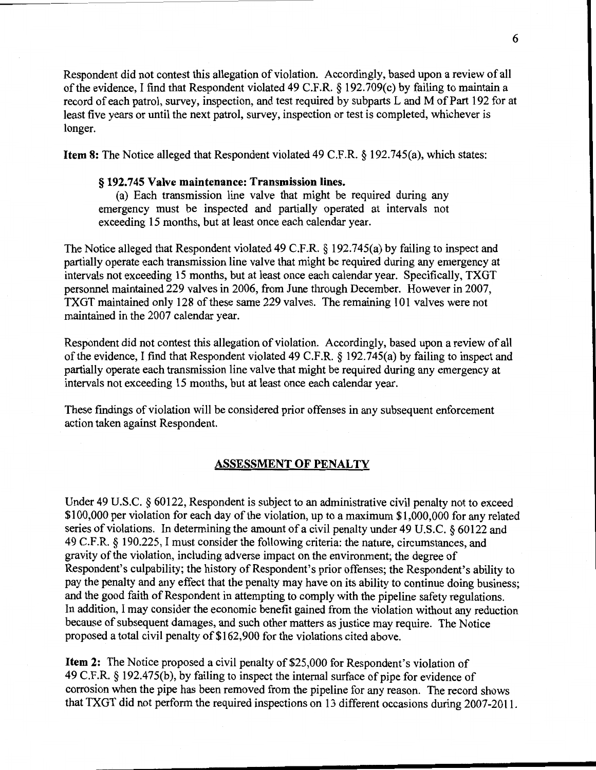Respondent did not contest this allegation of violation. Accordingly, based upon a review of all of the evidence, I find that Respondent violated 49 C.F.R. § 192.709(c) by failing to maintain a record of each patrol, survey, inspection, and test required by subparts L and M of Part 192 for at least five years or until the next patrol, survey, inspection or test is completed, whichever is longer.

Item 8: The Notice alleged that Respondent violated 49 C.F.R. § 192.745(a), which states:

### § 192.745 Valve maintenance: Transmission lines.

(a) Each transmission line valve that might be required during any emergency must be inspected and partially operated at intervals not exceeding 15 months, but at least once each calendar year.

The Notice alleged that Respondent violated 49 C.F.R. § 192.745(a) by failing to inspect and partially operate each transmission line valve that might be required during any emergency at intervals not exceeding 15 months, but at least once each calendar year. Specifically, TXGT personnel maintained 229 valves in 2006, from June through December. However in 2007, TXGT maintained only 128 of these same 229 valves. The remaining 101 valves were not maintained in the 2007 calendar year.

Respondent did not contest this allegation of violation. Accordingly, based upon a review of all of the evidence, I find that Respondent violated 49 C.F.R. § 192.745(a) by failing to inspect and partially operate each transmission line valve that might be required during any emergency at intervals not exceeding 15 months, but at least once each calendar year.

These findings of violation will be considered prior offenses in any subsequent enforcement action taken against Respondent.

### ASSESSMENT OF PENALTY

Under 49 U.S.C. § 60122, Respondent is subject to an administrative civil penalty not to exceed \$100,000 per violation for each day of the violation, up to a maximum \$1 ,000,000 for any related series of violations. In determining the amount of a civil penalty under 49 U.S.C. § 60122 and 49 C.F.R. § 190.225, I must consider the following criteria: the nature, circumstances, and gravity of the violation, including adverse impact on the environment; the degree of Respondent's culpability; the history of Respondent's prior offenses; the Respondent's ability to pay the penalty and any effect that the penalty may have on its ability to continue doing business; and the good faith of Respondent in attempting to comply with the pipeline safety regulations. In addition, I may consider the economic benefit gained from the violation without any reduction because of subsequent damages, and such other matters as justice may require. The Notice proposed a total civil penalty of \$162,900 for the violations cited above.

**Item 2:** The Notice proposed a civil penalty of \$25,000 for Respondent's violation of 49 C.F.R. § 192.475(b), by failing to inspect the internal surface of pipe for evidence of corrosion when the pipe has been removed from the pipeline for any reason. The record shows that TXGT did not perform the required inspections on 13 different occasions during 2007-2011.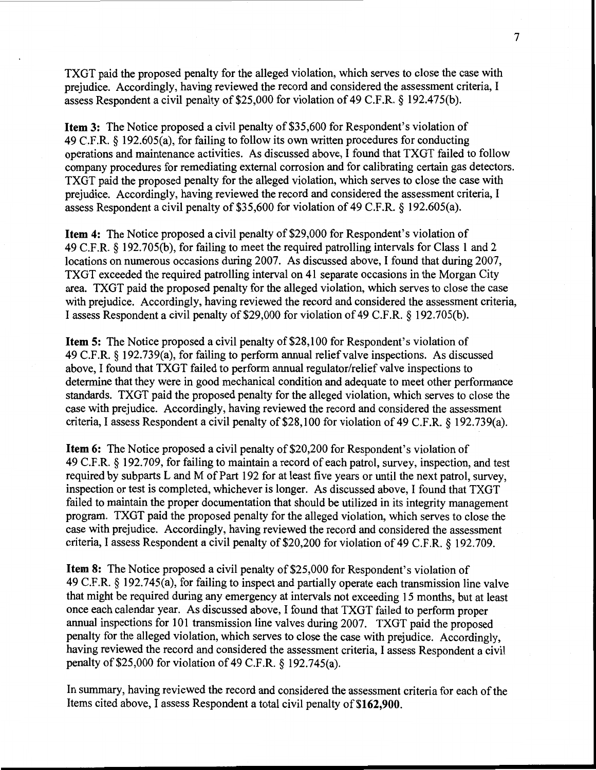TXGT paid the proposed penalty for the alleged violation, which serves to close the case with prejudice. Accordingly, having reviewed the record and considered the assessment criteria, I assess Respondent a civil penalty of \$25,000 for violation of 49 C.F.R. *§* 192.475(b).

**Item 3:** The Notice proposed a civil penalty of \$35,600 for Respondent's violation of 49 C.F.R. § 192.605(a), for failing to follow its own written procedures for conducting operations and maintenance activities. As discussed above, I found that TXGT failed to follow company procedures for remediating external corrosion and for calibrating certain gas detectors. TXGT paid the proposed penalty for the alleged violation, which serves to close the case with prejudice. Accordingly, having reviewed the record and considered the assessment criteria, I assess Respondent a civil penalty of \$35,600 for violation of 49 C.F.R. *§* 192.605(a).

**Item 4:** The Notice proposed a civil penalty of \$29,000 for Respondent's violation of 49 C.F.R. § 192.705(b), for failing to meet the required patrolling intervals for Class 1 and 2 locations on numerous occasions during 2007. As discussed above, I found that during 2007, TXGT exceeded the required patrolling interval on 41 separate occasions in the Morgan City area. TXGT paid the proposed penalty for the alleged violation, which serves to close the case with prejudice. Accordingly, having reviewed the record and considered the assessment criteria, I assess Respondent a civil penalty of \$29,000 for violation of 49 C.F.R. § 192.705(b).

**Item 5:** The Notice proposed a civil penalty of \$28,100 for Respondent's violation of 49 C.F.R. *§* 192.739(a), for failing to perform annual relief valve inspections. As discussed above, I found that TXGT failed to perform annual regulator/relief valve inspections to determine that they were in good mechanical condition and adequate to meet other performance standards. TXGT paid the proposed penalty for the alleged violation, which serves to close the case with prejudice. Accordingly, having reviewed the record and considered the assessment criteria, I assess Respondent a civil penalty of \$28,100 for violation of 49 C.F.R. § 192.739(a).

**Item 6:** The Notice proposed a civil penalty of \$20,200 for Respondent's violation of 49 C.F .R. *§* 192.709, for failing to maintain a record of each patrol, survey, inspection, and test required by subparts Land M of Part 192 for at least five years or until the next patrol, survey, inspection or test is completed, whichever is longer. As discussed above, I found that TXGT failed to maintain the proper documentation that should be utilized in its integrity management program. TXGT paid the proposed penalty for the alleged violation, which serves to close the case with prejudice. Accordingly, having reviewed the record and considered the assessment criteria, I assess Respondent a civil penalty of \$20,200 for violation of 49 C.F.R. § 192.709.

**Item 8:** The Notice proposed a civil penalty of \$25,000 for Respondent's violation of 49 C.F.R. § 192.745(a), for failing to inspect and partially operate each transmission line valve that might be required during any emergency at intervals not exceeding 15 months, but at least once each calendar year. As discussed above, I found that TXGT failed to perform proper annual inspections for 101 transmission line valves during 2007. TXGT paid the proposed penalty for the alleged violation, which serves to close the case with prejudice. Accordingly, having reviewed the record and considered the assessment criteria, I assess Respondent a civil penalty of\$25,000 for violation of 49 C.F.R. § 192.745(a).

In summary, having reviewed the record and considered the assessment criteria for each of the Items cited above, I assess Respondent a total civil penalty of **\$162,900.**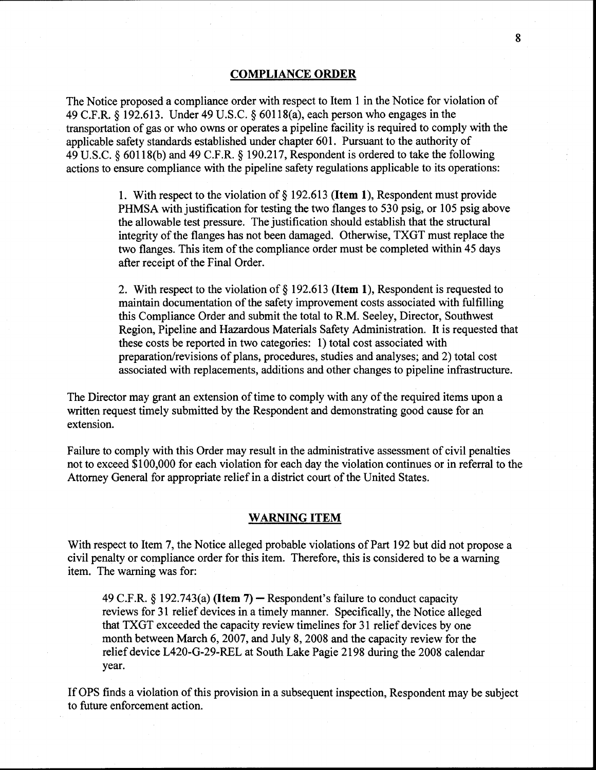### COMPLIANCE ORDER

The Notice proposed a compliance order with respect to Item 1 in the Notice for violation of 49 C.F.R. § 192.613. Under 49 U.S.C. § 60118(a), each person who engages in the transportation of gas or who owns or operates a pipeline facility is required to comply with the applicable safety standards established under chapter 601. Pursuant to the authority of 49 U.S.C. § 60118(b) and 49 C.F.R. § 190.217, Respondent is ordered to take the following actions to ensure compliance with the pipeline safety regulations applicable to its operations:

> 1. With respect to the violation of  $\S$  192.613 (Item 1), Respondent must provide PHMSA with justification for testing the two flanges to 530 psig, or 105 psig above the allowable test pressure. The justification should establish that the structural integrity of the flanges has not been damaged. Otherwise, TXGT must replace the two flanges. This item of the compliance order must be completed within 45 days after receipt of the Final Order.

2. With respect to the violation of§ 192.613 (Item 1), Respondent is requested to maintain documentation of the safety improvement costs associated with fulfilling this Compliance Order and submit the total to R.M. Seeley, Director, Southwest Region, Pipeline and Hazardous Materials Safety Administration. It is requested that these costs be reported in two categories: 1) total cost associated with preparation/revisions of plans, procedures, studies and analyses; and 2) total cost associated with replacements, additions and other changes to pipeline infrastructure.

The Director may grant an extension of time to comply with any of the required items upon a written request timely submitted by the Respondent and demonstrating good cause for an extension.

Failure to comply with this Order may result in the administrative assessment of civil penalties not to exceed \$100,000 for each violation for each day the violation continues or in referral to the Attorney General for appropriate relief in a district court of the United States.

### WARNING ITEM

With respect to Item 7, the Notice alleged probable violations of Part 192 but did not propose a civil penalty or compliance order for this item. Therefore, this is considered to be a warning item. The warning was for:

49 C.F.R. § 192.743(a) (Item 7) – Respondent's failure to conduct capacity reviews for 31 relief devices in a timely manner. Specifically, the Notice alleged that TXGT exceeded the capacity review timelines for 31 relief devices by one month between March 6, 2007, and July 8, 2008 and the capacity review for the relief device L420-G-29-REL at South Lake Pagie 2198 during the 2008 calendar year.

IfOPS finds a violation of this provision in a subsequent inspection, Respondent may be subject to future enforcement action.